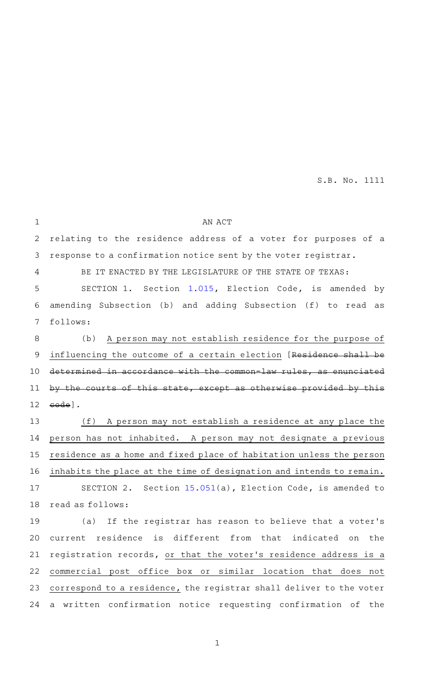| $\mathbf{1}$   | AN ACT                                                                   |
|----------------|--------------------------------------------------------------------------|
| $\overline{2}$ | relating to the residence address of a voter for purposes of a           |
| 3              | response to a confirmation notice sent by the voter registrar.           |
| 4              | BE IT ENACTED BY THE LEGISLATURE OF THE STATE OF TEXAS:                  |
| 5              | SECTION 1. Section 1.015, Election Code, is amended<br>by                |
| 6              | amending Subsection (b) and adding Subsection (f) to read as             |
| 7              | follows:                                                                 |
| $\,8\,$        | A person may not establish residence for the purpose of<br>(b)           |
| $\mathsf 9$    | influencing the outcome of a certain election [Residence shall be        |
| 10             | determined in accordance with the common-law rules, as enunciated        |
| 11             | by the courts of this state, except as otherwise provided by this        |
| 12             | code].                                                                   |
| 13             | (f) A person may not establish a residence at any place the              |
| 14             | person has not inhabited. A person may not designate a previous          |
| 15             | residence as a home and fixed place of habitation unless the person      |
| 16             | inhabits the place at the time of designation and intends to remain.     |
| 17             | SECTION 2. Section 15.051(a), Election Code, is amended to               |
| 18             | read as follows:                                                         |
| 19             | (a) If the registrar has reason to believe that a voter's                |
| 20             | current residence<br>is<br>different from that<br>indicated<br>the<br>on |
| 21             | registration records, or that the voter's residence address is a         |
| 22             | commercial post office box or similar location that does not             |
| 23             | correspond to a residence, the registrar shall deliver to the voter      |
| 24             | a written confirmation notice requesting confirmation of<br>the          |

1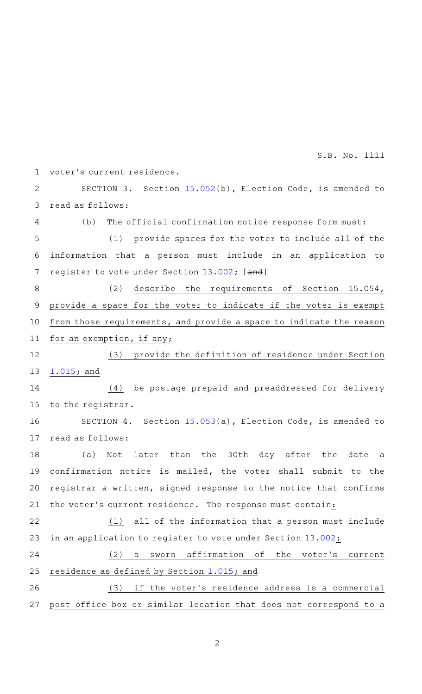voter 's current residence. SECTION 3. Section [15.052\(](http://www.statutes.legis.state.tx.us/GetStatute.aspx?Code=EL&Value=15.052&Date=5/25/2021)b), Election Code, is amended to read as follows:  $(b)$  The official confirmation notice response form must: (1) provide spaces for the voter to include all of the information that a person must include in an application to register to vote under Section [13.002;](http://www.statutes.legis.state.tx.us/GetStatute.aspx?Code=EL&Value=13.002&Date=5/25/2021) [and] (2) describe the requirements of Section 15.054, provide a space for the voter to indicate if the voter is exempt from those requirements, and provide a space to indicate the reason for an exemption, if any; (3) provide the definition of residence under Section [1.015;](http://www.statutes.legis.state.tx.us/GetStatute.aspx?Code=EL&Value=1.015&Date=5/25/2021) and (4) be postage prepaid and preaddressed for delivery to the registrar. SECTION 4. Section [15.053\(](http://www.statutes.legis.state.tx.us/GetStatute.aspx?Code=EL&Value=15.053&Date=5/25/2021)a), Election Code, is amended to read as follows: (a) Not later than the 30th day after the date a confirmation notice is mailed, the voter shall submit to the registrar a written, signed response to the notice that confirms the voter 's current residence. The response must contain:  $(1)$  all of the information that a person must include in an application to register to vote under Section [13.002](http://www.statutes.legis.state.tx.us/GetStatute.aspx?Code=EL&Value=13.002&Date=5/25/2021);  $(2)$  a sworn affirmation of the voter's current residence as defined by Section [1.015;](http://www.statutes.legis.state.tx.us/GetStatute.aspx?Code=EL&Value=1.015&Date=5/25/2021) and (3) if the voter's residence address is a commercial post office box or similar location that does not correspond to a 1 2 3 4 5 6 7 8 9 10 11 12 13 14 15 16 17 18 19 20 21 22 23 24 25 26 27

2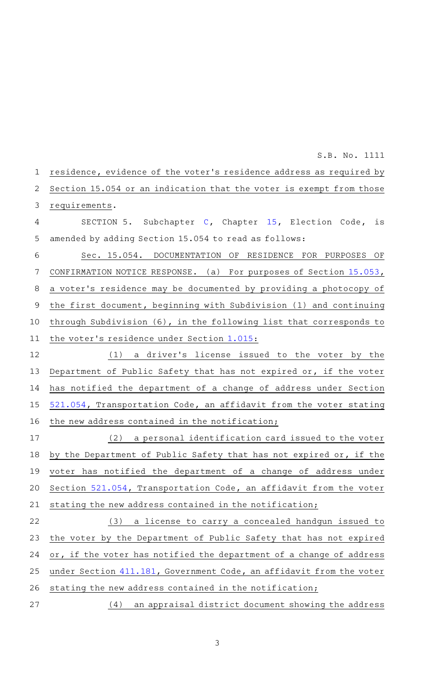residence, evidence of the voter 's residence address as required by Section 15.054 or an indication that the voter is exempt from those requirements. SECTION 5. Subchapter [C,](http://www.statutes.legis.state.tx.us/GetStatute.aspx?Code=EL&Value=15.051&Date=5/25/2021) Chapter [15,](http://www.statutes.legis.state.tx.us/GetStatute.aspx?Code=EL&Value=15&Date=5/25/2021) Election Code, is amended by adding Section 15.054 to read as follows: Sec. 15.054. DOCUMENTATION OF RESIDENCE FOR PURPOSES OF CONFIRMATION NOTICE RESPONSE. (a) For purposes of Section [15.053](http://www.statutes.legis.state.tx.us/GetStatute.aspx?Code=EL&Value=15.053&Date=5/25/2021), a voter 's residence may be documented by providing a photocopy of the first document, beginning with Subdivision (1) and continuing through Subdivision (6), in the following list that corresponds to the voter 's residence under Section [1.015](http://www.statutes.legis.state.tx.us/GetStatute.aspx?Code=EL&Value=1.015&Date=5/25/2021):  $(1)$  a driver's license issued to the voter by the Department of Public Safety that has not expired or, if the voter has notified the department of a change of address under Section [521.054,](http://www.statutes.legis.state.tx.us/GetStatute.aspx?Code=TN&Value=521.054&Date=5/25/2021) Transportation Code, an affidavit from the voter stating the new address contained in the notification;  $(2)$  a personal identification card issued to the voter by the Department of Public Safety that has not expired or, if the voter has notified the department of a change of address under Section [521.054,](http://www.statutes.legis.state.tx.us/GetStatute.aspx?Code=TN&Value=521.054&Date=5/25/2021) Transportation Code, an affidavit from the voter stating the new address contained in the notification; (3) a license to carry a concealed handgun issued to the voter by the Department of Public Safety that has not expired or, if the voter has notified the department of a change of address under Section [411.181](http://www.statutes.legis.state.tx.us/GetStatute.aspx?Code=GV&Value=411.181&Date=5/25/2021), Government Code, an affidavit from the voter stating the new address contained in the notification; (4) an appraisal district document showing the address 1 2 3 4 5 6 7 8 9 10 11 12 13 14 15 16 17 18 19 20 21 22 23 24 25 26 27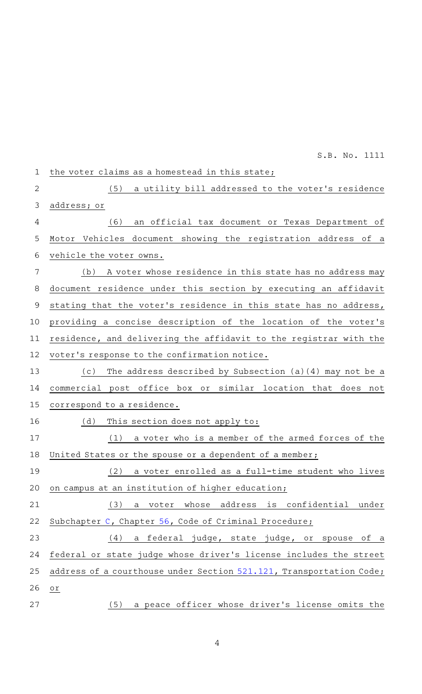the voter claims as a homestead in this state; (5) a utility bill addressed to the voter's residence address; or (6) an official tax document or Texas Department of Motor Vehicles document showing the registration address of a vehicle the voter owns. (b) A voter whose residence in this state has no address may document residence under this section by executing an affidavit stating that the voter's residence in this state has no address, providing a concise description of the location of the voter 's residence, and delivering the affidavit to the registrar with the voter 's response to the confirmation notice. (c) The address described by Subsection  $(a)(4)$  may not be a commercial post office box or similar location that does not correspond to a residence.  $(d)$  This section does not apply to:  $(1)$  a voter who is a member of the armed forces of the United States or the spouse or a dependent of a member; (2) a voter enrolled as a full-time student who lives on campus at an institution of higher education; (3) a voter whose address is confidential under Subchapter [C](http://www.statutes.legis.state.tx.us/GetStatute.aspx?Code=CR&Value=56.81&Date=5/25/2021), Chapter [56,](http://www.statutes.legis.state.tx.us/GetStatute.aspx?Code=CR&Value=56&Date=5/25/2021) Code of Criminal Procedure; (4) a federal judge, state judge, or spouse of a federal or state judge whose driver 's license includes the street address of a courthouse under Section [521.121,](http://www.statutes.legis.state.tx.us/GetStatute.aspx?Code=TN&Value=521.121&Date=5/25/2021) Transportation Code; or (5) a peace officer whose driver's license omits the 1 2 3 4 5 6 7 8 9 10 11 12 13 14 15 16 17 18 19 20 21 22 23 24 25 26 27 S.B. No. 1111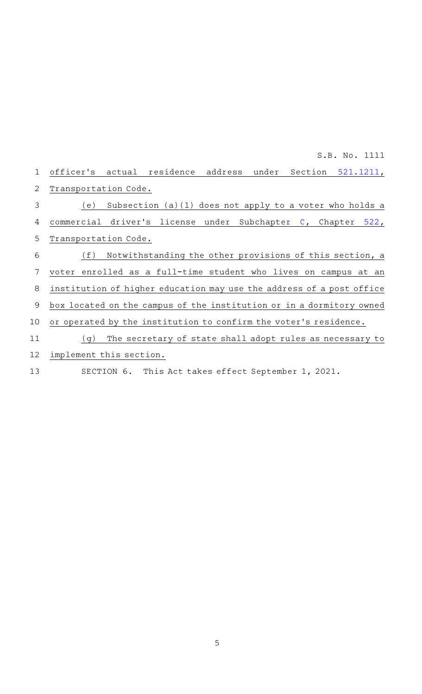| 1  | officer's actual residence address under Section 521.1211,           |
|----|----------------------------------------------------------------------|
| 2  | Transportation Code.                                                 |
| 3  | Subsection $(a)(1)$ does not apply to a voter who holds a<br>(e)     |
| 4  | commercial driver's license under Subchapter C, Chapter<br>522,      |
| 5  | Transportation Code.                                                 |
| 6  | Notwithstanding the other provisions of this section, a<br>(f)       |
| 7  | voter enrolled as a full-time student who lives on campus at an      |
| 8  | institution of higher education may use the address of a post office |
| 9  | box located on the campus of the institution or in a dormitory owned |
| 10 | or operated by the institution to confirm the voter's residence.     |
| 11 | The secretary of state shall adopt rules as necessary to<br>(q)      |
| 12 | implement this section.                                              |

13 SECTION 6. This Act takes effect September 1, 2021.